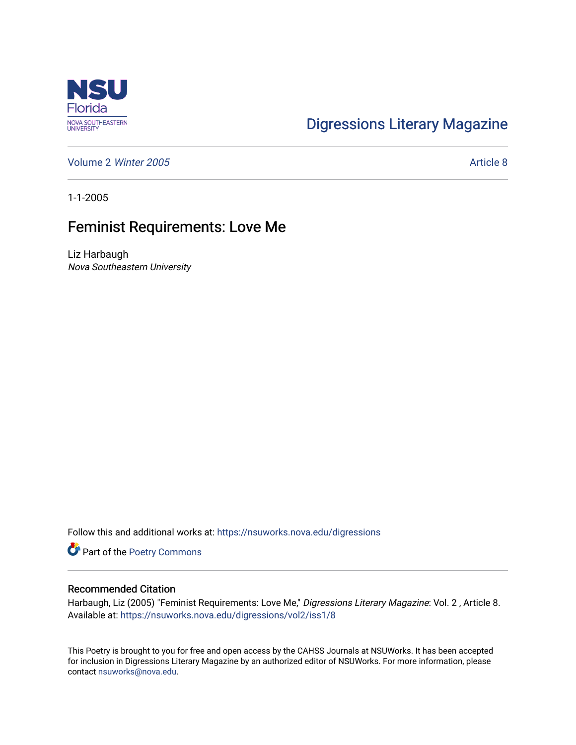

## [Digressions Literary Magazine](https://nsuworks.nova.edu/digressions)

[Volume 2](https://nsuworks.nova.edu/digressions/vol2) Winter 2005 [Article 8](https://nsuworks.nova.edu/digressions/vol2/iss1/8) and 2005

1-1-2005

## Feminist Requirements: Love Me

Liz Harbaugh Nova Southeastern University

Follow this and additional works at: [https://nsuworks.nova.edu/digressions](https://nsuworks.nova.edu/digressions?utm_source=nsuworks.nova.edu%2Fdigressions%2Fvol2%2Fiss1%2F8&utm_medium=PDF&utm_campaign=PDFCoverPages) 

Part of the [Poetry Commons](http://network.bepress.com/hgg/discipline/1153?utm_source=nsuworks.nova.edu%2Fdigressions%2Fvol2%2Fiss1%2F8&utm_medium=PDF&utm_campaign=PDFCoverPages) 

## Recommended Citation

Harbaugh, Liz (2005) "Feminist Requirements: Love Me," Digressions Literary Magazine: Vol. 2, Article 8. Available at: [https://nsuworks.nova.edu/digressions/vol2/iss1/8](https://nsuworks.nova.edu/digressions/vol2/iss1/8?utm_source=nsuworks.nova.edu%2Fdigressions%2Fvol2%2Fiss1%2F8&utm_medium=PDF&utm_campaign=PDFCoverPages) 

This Poetry is brought to you for free and open access by the CAHSS Journals at NSUWorks. It has been accepted for inclusion in Digressions Literary Magazine by an authorized editor of NSUWorks. For more information, please contact [nsuworks@nova.edu.](mailto:nsuworks@nova.edu)